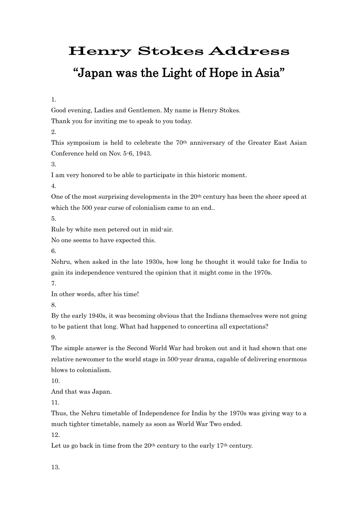## Henry Stokes Address "Japan was the Light of Hope in Asia"

1.

Good evening, Ladies and Gentlemen. My name is Henry Stokes.

Thank you for inviting me to speak to you today.

2.

This symposium is held to celebrate the 70th anniversary of the Greater East Asian Conference held on Nov. 5-6, 1943.

3.

I am very honored to be able to participate in this historic moment.

4.

One of the most surprising developments in the 20<sup>th</sup> century has been the sheer speed at which the 500 year curse of colonialism came to an end..

5.

Rule by white men petered out in mid-air.

No one seems to have expected this.

6.

Nehru, when asked in the late 1930s, how long he thought it would take for India to gain its independence ventured the opinion that it might come in the 1970s.

7.

In other words, after his time!

8.

By the early 1940s, it was becoming obvious that the Indians themselves were not going to be patient that long. What had happened to concertina all expectations?

9.

The simple answer is the Second World War had broken out and it had shown that one relative newcomer to the world stage in 500-year drama, capable of delivering enormous blows to colonialism.

10.

And that was Japan.

11.

Thus, the Nehru timetable of Independence for India by the 1970s was giving way to a much tighter timetable, namely as soon as World War Two ended.

12.

Let us go back in time from the 20<sup>th</sup> century to the early 17<sup>th</sup> century.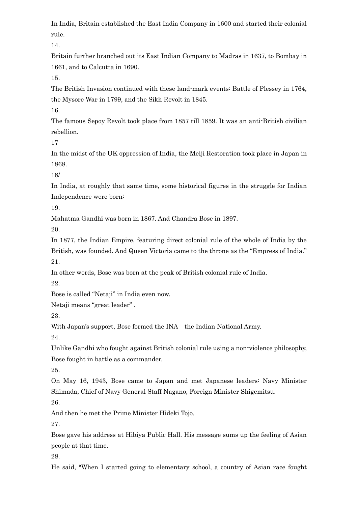In India, Britain established the East India Company in 1600 and started their colonial rule.

14.

Britain further branched out its East Indian Company to Madras in 1637, to Bombay in 1661, and to Calcutta in 1690.

15.

The British Invasion continued with these land-mark events: Battle of Plessey in 1764, the Mysore War in 1799, and the Sikh Revolt in 1845.

16.

The famous Sepoy Revolt took place from 1857 till 1859. It was an anti-British civilian rebellion.

17

In the midst of the UK oppression of India, the Meiji Restoration took place in Japan in 1868.

18/

In India, at roughly that same time, some historical figures in the struggle for Indian Independence were born:

19.

Mahatma Gandhi was born in 1867. And Chandra Bose in 1897.

20.

In 1877, the Indian Empire, featuring direct colonial rule of the whole of India by the British, was founded. And Queen Victoria came to the throne as the "Empress of India." 21.

In other words, Bose was born at the peak of British colonial rule of India.

22.

Bose is called "Netaji" in India even now.

Netaji means "great leader" .

23.

With Japan's support, Bose formed the INA—the Indian National Army.

24.

Unlike Gandhi who fought against British colonial rule using a non-violence philosophy, Bose fought in battle as a commander.

25.

On May 16, 1943, Bose came to Japan and met Japanese leaders: Navy Minister Shimada, Chief of Navy General Staff Nagano, Foreign Minister Shigemitsu. 26.

And then he met the Prime Minister Hideki Tojo.

27.

Bose gave his address at Hibiya Public Hall. His message sums up the feeling of Asian people at that time.

28.

He said, "When I started going to elementary school, a country of Asian race fought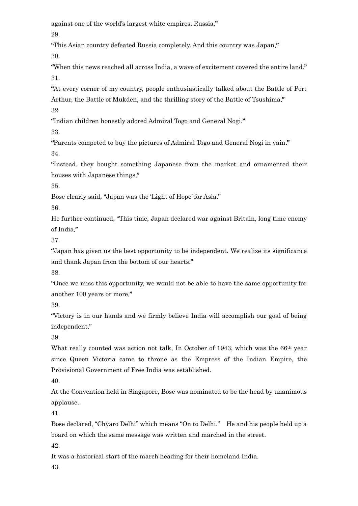against one of the world's largest white empires, Russia." 29.

"This Asian country defeated Russia completely. And this country was Japan."

30.

"When this news reached all across India, a wave of excitement covered the entire land." 31.

"At every corner of my country, people enthusiastically talked about the Battle of Port Arthur, the Battle of Mukden, and the thrilling story of the Battle of Tsushima." 32

"Indian children honestly adored Admiral Togo and General Nogi."

33.

"Parents competed to buy the pictures of Admiral Togo and General Nogi in vain." 34.

"Instead, they bought something Japanese from the market and ornamented their houses with Japanese things."

35.

Bose clearly said, "Japan was the 'Light of Hope' for Asia."

36.

He further continued, "This time, Japan declared war against Britain, long time enemy of India."

37.

"Japan has given us the best opportunity to be independent. We realize its significance and thank Japan from the bottom of our hearts."

38.

"Once we miss this opportunity, we would not be able to have the same opportunity for another 100 years or more."

39.

"Victory is in our hands and we firmly believe India will accomplish our goal of being independent."

39.

What really counted was action not talk, In October of 1943, which was the 66<sup>th</sup> year since Queen Victoria came to throne as the Empress of the Indian Empire, the Provisional Government of Free India was established.

40.

At the Convention held in Singapore, Bose was nominated to be the head by unanimous applause.

41.

Bose declared, "Chyaro Delhi" which means "On to Delhi." He and his people held up a board on which the same message was written and marched in the street.

42.

It was a historical start of the march heading for their homeland India.

43.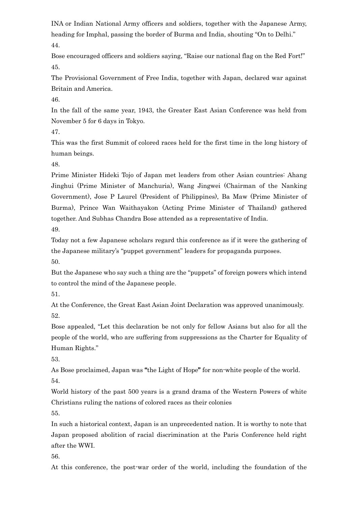INA or Indian National Army officers and soldiers, together with the Japanese Army, heading for Imphal, passing the border of Burma and India, shouting "On to Delhi." 44.

Bose encouraged officers and soldiers saying, "Raise our national flag on the Red Fort!" 45.

The Provisional Government of Free India, together with Japan, declared war against Britain and America.

46.

In the fall of the same year, 1943, the Greater East Asian Conference was held from November 5 for 6 days in Tokyo.

47.

This was the first Summit of colored races held for the first time in the long history of human beings.

48.

Prime Minister Hideki Tojo of Japan met leaders from other Asian countries: Ahang Jinghui (Prime Minister of Manchuria), Wang Jingwei (Chairman of the Nanking Government), Jose P Laurel (President of Philippines), Ba Maw (Prime Minister of Burma), Prince Wan Waithayakon (Acting Prime Minister of Thailand) gathered together. And Subhas Chandra Bose attended as a representative of India.

49.

Today not a few Japanese scholars regard this conference as if it were the gathering of the Japanese military's "puppet government" leaders for propaganda purposes. 50.

But the Japanese who say such a thing are the "puppets" of foreign powers which intend to control the mind of the Japanese people.

51.

At the Conference, the Great East Asian Joint Declaration was approved unanimously. 52.

Bose appealed, "Let this declaration be not only for fellow Asians but also for all the people of the world, who are suffering from suppressions as the Charter for Equality of Human Rights."

53.

As Bose proclaimed, Japan was "the Light of Hope" for non-white people of the world.

54.

World history of the past 500 years is a grand drama of the Western Powers of white Christians ruling the nations of colored races as their colonies

55.

In such a historical context, Japan is an unprecedented nation. It is worthy to note that Japan proposed abolition of racial discrimination at the Paris Conference held right after the WWI.

56.

At this conference, the post-war order of the world, including the foundation of the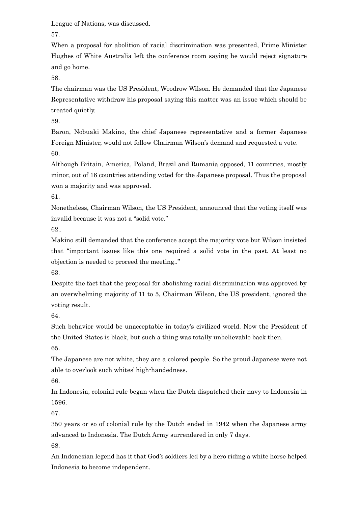League of Nations, was discussed.

57.

When a proposal for abolition of racial discrimination was presented, Prime Minister Hughes of White Australia left the conference room saying he would reject signature and go home.

58.

The chairman was the US President, Woodrow Wilson. He demanded that the Japanese Representative withdraw his proposal saying this matter was an issue which should be treated quietly.

59.

Baron, Nobuaki Makino, the chief Japanese representative and a former Japanese Foreign Minister, would not follow Chairman Wilson's demand and requested a vote. 60.

Although Britain, America, Poland, Brazil and Rumania opposed, 11 countries, mostly minor, out of 16 countries attending voted for the Japanese proposal. Thus the proposal won a majority and was approved.

61.

Nonetheless, Chairman Wilson, the US President, announced that the voting itself was invalid because it was not a "solid vote."

62..

Makino still demanded that the conference accept the majority vote but Wilson insisted that "important issues like this one required a solid vote in the past. At least no objection is needed to proceed the meeting.."

63.

Despite the fact that the proposal for abolishing racial discrimination was approved by an overwhelming majority of 11 to 5, Chairman Wilson, the US president, ignored the voting result.

64.

Such behavior would be unacceptable in today's civilized world. Now the President of the United States is black, but such a thing was totally unbelievable back then. 65.

The Japanese are not white, they are a colored people. So the proud Japanese were not able to overlook such whites' high-handedness.

66.

In Indonesia, colonial rule began when the Dutch dispatched their navy to Indonesia in 1596.

67.

350 years or so of colonial rule by the Dutch ended in 1942 when the Japanese army advanced to Indonesia. The Dutch Army surrendered in only 7 days.

68.

An Indonesian legend has it that God's soldiers led by a hero riding a white horse helped Indonesia to become independent.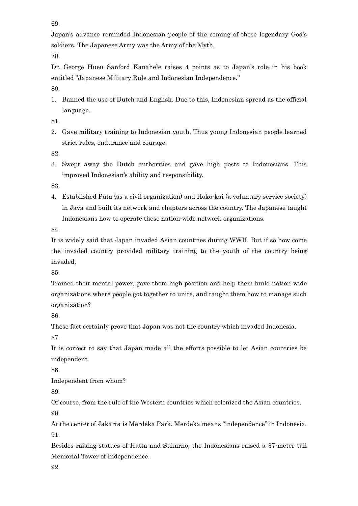69.

Japan's advance reminded Indonesian people of the coming of those legendary God's soldiers. The Japanese Army was the Army of the Myth.

70.

Dr. George Hueu Sanford Kanahele raises 4 points as to Japan's role in his book entitled "Japanese Military Rule and Indonesian Independence."

80.

1. Banned the use of Dutch and English. Due to this, Indonesian spread as the official language.

81.

2. Gave military training to Indonesian youth. Thus young Indonesian people learned strict rules, endurance and courage.

82.

3. Swept away the Dutch authorities and gave high posts to Indonesians. This improved Indonesian's ability and responsibility.

83.

4. Established Puta (as a civil organization) and Hoko-kai (a voluntary service society) in Java and built its network and chapters across the country. The Japanese taught Indonesians how to operate these nation-wide network organizations.

84.

It is widely said that Japan invaded Asian countries during WWII. But if so how come the invaded country provided military training to the youth of the country being invaded,

85.

Trained their mental power, gave them high position and help them build nation-wide organizations where people got together to unite, and taught them how to manage such organization?

86.

These fact certainly prove that Japan was not the country which invaded Indonesia.

87.

It is correct to say that Japan made all the efforts possible to let Asian countries be independent.

88.

Independent from whom?

89.

Of course, from the rule of the Western countries which colonized the Asian countries. 90.

At the center of Jakarta is Merdeka Park. Merdeka means "independence" in Indonesia. 91.

Besides raising statues of Hatta and Sukarno, the Indonesians raised a 37-meter tall Memorial Tower of Independence.

92.